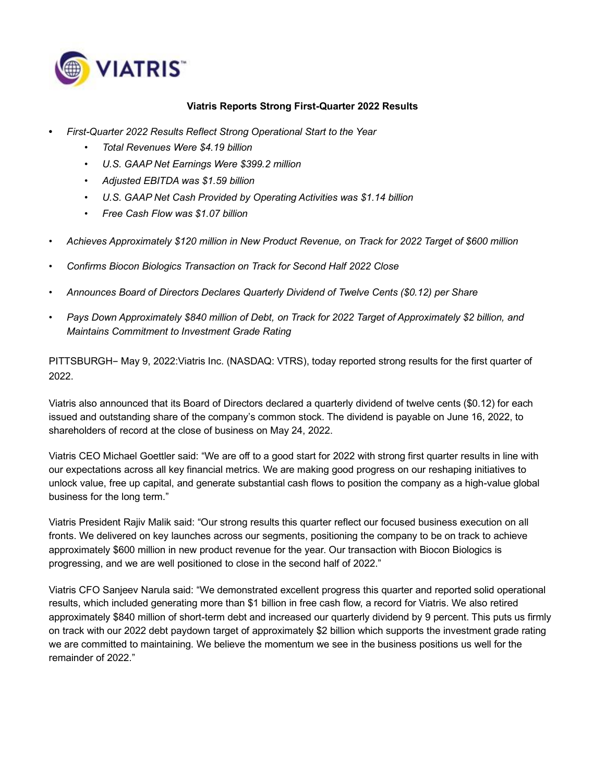

### **Viatris Reports Strong First-Quarter 2022 Results**

- **•** *First-Quarter 2022 Results Reflect Strong Operational Start to the Year*
	- *• Total Revenues Were \$4.19 billion*
	- *• U.S. GAAP Net Earnings Were \$399.2 million*
	- *• Adjusted EBITDA was \$1.59 billion*
	- *• U.S. GAAP Net Cash Provided by Operating Activities was \$1.14 billion*
	- *• Free Cash Flow was \$1.07 billion*
- *• Achieves Approximately \$120 million in New Product Revenue, on Track for 2022 Target of \$600 million*
- *• Confirms Biocon Biologics Transaction on Track for Second Half 2022 Close*
- *• Announces Board of Directors Declares Quarterly Dividend of Twelve Cents (\$0.12) per Share*
- *• Pays Down Approximately \$840 million of Debt, on Track for 2022 Target of Approximately \$2 billion, and Maintains Commitment to Investment Grade Rating*

PITTSBURGH– May 9, 2022:Viatris Inc. (NASDAQ: VTRS), today reported strong results for the first quarter of 2022.

Viatris also announced that its Board of Directors declared a quarterly dividend of twelve cents (\$0.12) for each issued and outstanding share of the company's common stock. The dividend is payable on June 16, 2022, to shareholders of record at the close of business on May 24, 2022.

Viatris CEO Michael Goettler said: "We are off to a good start for 2022 with strong first quarter results in line with our expectations across all key financial metrics. We are making good progress on our reshaping initiatives to unlock value, free up capital, and generate substantial cash flows to position the company as a high-value global business for the long term."

Viatris President Rajiv Malik said: "Our strong results this quarter reflect our focused business execution on all fronts. We delivered on key launches across our segments, positioning the company to be on track to achieve approximately \$600 million in new product revenue for the year. Our transaction with Biocon Biologics is progressing, and we are well positioned to close in the second half of 2022."

Viatris CFO Sanjeev Narula said: "We demonstrated excellent progress this quarter and reported solid operational results, which included generating more than \$1 billion in free cash flow, a record for Viatris. We also retired approximately \$840 million of short-term debt and increased our quarterly dividend by 9 percent. This puts us firmly on track with our 2022 debt paydown target of approximately \$2 billion which supports the investment grade rating we are committed to maintaining. We believe the momentum we see in the business positions us well for the remainder of 2022."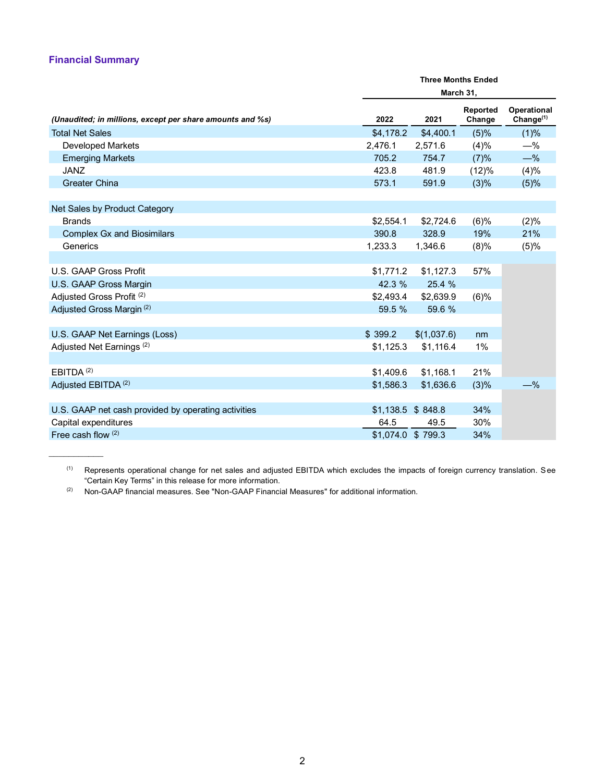### **Financial Summary**

|                                                           |                    | <b>Three Months Ended</b><br>March 31, |                    |                                    |  |  |  |
|-----------------------------------------------------------|--------------------|----------------------------------------|--------------------|------------------------------------|--|--|--|
| (Unaudited; in millions, except per share amounts and %s) | 2022               | 2021                                   | Reported<br>Change | <b>Operational</b><br>Change $(1)$ |  |  |  |
| <b>Total Net Sales</b>                                    | \$4,178.2          | \$4,400.1                              | (5)%               | (1)%                               |  |  |  |
| Developed Markets                                         | 2,476.1            | 2,571.6                                | (4)%               | $-$ %                              |  |  |  |
| <b>Emerging Markets</b>                                   | 705.2              | 754.7                                  | (7)%               | $-\%$                              |  |  |  |
| <b>JANZ</b>                                               | 423.8              | 481.9                                  | (12)%              | (4)%                               |  |  |  |
| <b>Greater China</b>                                      | 573.1              | 591.9                                  | (3)%               | (5)%                               |  |  |  |
| Net Sales by Product Category                             |                    |                                        |                    |                                    |  |  |  |
| <b>Brands</b>                                             | \$2,554.1          | \$2,724.6                              | (6)%               | (2)%                               |  |  |  |
| <b>Complex Gx and Biosimilars</b>                         | 390.8              | 328.9                                  | 19%                | 21%                                |  |  |  |
| Generics                                                  | 1,233.3            | 1,346.6                                | (8)%               | (5)%                               |  |  |  |
|                                                           |                    |                                        |                    |                                    |  |  |  |
| U.S. GAAP Gross Profit                                    | \$1,771.2          | \$1,127.3                              | 57%                |                                    |  |  |  |
| U.S. GAAP Gross Margin                                    | 42.3 %             | 25.4 %                                 |                    |                                    |  |  |  |
| Adjusted Gross Profit (2)                                 | \$2,493.4          | \$2,639.9                              | (6)%               |                                    |  |  |  |
| Adjusted Gross Margin <sup>(2)</sup>                      | 59.5 %             | 59.6 %                                 |                    |                                    |  |  |  |
| U.S. GAAP Net Earnings (Loss)                             | \$399.2            | \$(1,037.6)                            | nm                 |                                    |  |  |  |
| Adjusted Net Earnings <sup>(2)</sup>                      | \$1,125.3          | \$1,116.4                              | 1%                 |                                    |  |  |  |
|                                                           |                    |                                        |                    |                                    |  |  |  |
| EBITDA <sup>(2)</sup>                                     | \$1,409.6          | \$1,168.1                              | 21%                |                                    |  |  |  |
| Adjusted EBITDA <sup>(2)</sup>                            | \$1,586.3          | \$1,636.6                              | (3)%               | $-$ %                              |  |  |  |
| U.S. GAAP net cash provided by operating activities       | $$1,138.5$ \$848.8 |                                        | 34%                |                                    |  |  |  |
| Capital expenditures                                      | 64.5               | 49.5                                   | 30%                |                                    |  |  |  |
| Free cash flow $(2)$                                      | \$1,074.0 \$799.3  |                                        | 34%                |                                    |  |  |  |

<sup>(1)</sup> Represents operational change for net sales and adjusted EBITDA which excludes the impacts of foreign currency translation. See "Certain Key Terms" in this release for more information.

(2) Non-GAAP financial measures. See "Non-GAAP Financial Measures" for additional information.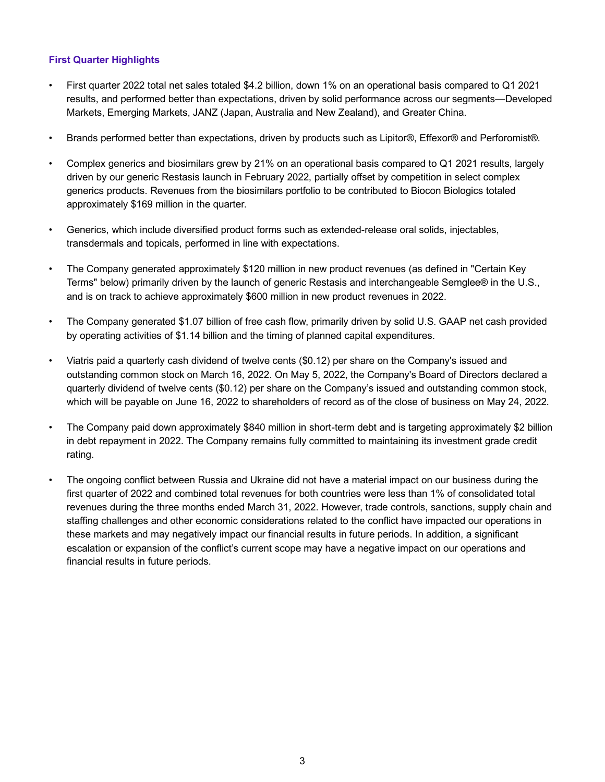## **First Quarter Highlights**

- First quarter 2022 total net sales totaled \$4.2 billion, down 1% on an operational basis compared to Q1 2021 results, and performed better than expectations, driven by solid performance across our segments—Developed Markets, Emerging Markets, JANZ (Japan, Australia and New Zealand), and Greater China.
- Brands performed better than expectations, driven by products such as Lipitor®, Effexor® and Perforomist®.
- Complex generics and biosimilars grew by 21% on an operational basis compared to Q1 2021 results, largely driven by our generic Restasis launch in February 2022, partially offset by competition in select complex generics products. Revenues from the biosimilars portfolio to be contributed to Biocon Biologics totaled approximately \$169 million in the quarter.
- Generics, which include diversified product forms such as extended-release oral solids, injectables, transdermals and topicals, performed in line with expectations.
- The Company generated approximately \$120 million in new product revenues (as defined in "Certain Key Terms" below) primarily driven by the launch of generic Restasis and interchangeable Semglee® in the U.S., and is on track to achieve approximately \$600 million in new product revenues in 2022.
- The Company generated \$1.07 billion of free cash flow, primarily driven by solid U.S. GAAP net cash provided by operating activities of \$1.14 billion and the timing of planned capital expenditures.
- Viatris paid a quarterly cash dividend of twelve cents (\$0.12) per share on the Company's issued and outstanding common stock on March 16, 2022. On May 5, 2022, the Company's Board of Directors declared a quarterly dividend of twelve cents (\$0.12) per share on the Company's issued and outstanding common stock, which will be payable on June 16, 2022 to shareholders of record as of the close of business on May 24, 2022.
- The Company paid down approximately \$840 million in short-term debt and is targeting approximately \$2 billion in debt repayment in 2022. The Company remains fully committed to maintaining its investment grade credit rating.
- The ongoing conflict between Russia and Ukraine did not have a material impact on our business during the first quarter of 2022 and combined total revenues for both countries were less than 1% of consolidated total revenues during the three months ended March 31, 2022. However, trade controls, sanctions, supply chain and staffing challenges and other economic considerations related to the conflict have impacted our operations in these markets and may negatively impact our financial results in future periods. In addition, a significant escalation or expansion of the conflict's current scope may have a negative impact on our operations and financial results in future periods.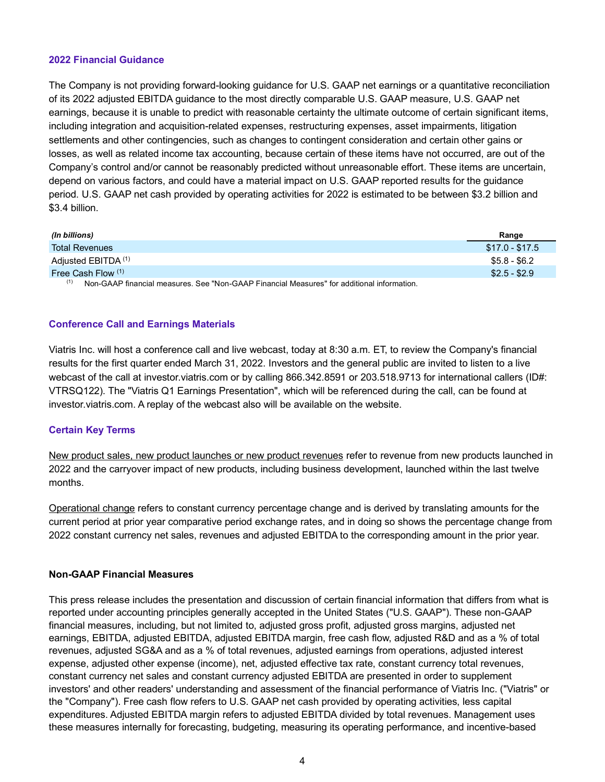### **2022 Financial Guidance**

The Company is not providing forward-looking guidance for U.S. GAAP net earnings or a quantitative reconciliation of its 2022 adjusted EBITDA guidance to the most directly comparable U.S. GAAP measure, U.S. GAAP net earnings, because it is unable to predict with reasonable certainty the ultimate outcome of certain significant items, including integration and acquisition-related expenses, restructuring expenses, asset impairments, litigation settlements and other contingencies, such as changes to contingent consideration and certain other gains or losses, as well as related income tax accounting, because certain of these items have not occurred, are out of the Company's control and/or cannot be reasonably predicted without unreasonable effort. These items are uncertain, depend on various factors, and could have a material impact on U.S. GAAP reported results for the guidance period. U.S. GAAP net cash provided by operating activities for 2022 is estimated to be between \$3.2 billion and \$3.4 billion.

| (In billions)                                                                                                                                        | Range           |
|------------------------------------------------------------------------------------------------------------------------------------------------------|-----------------|
| <b>Total Revenues</b>                                                                                                                                | $$17.0 - $17.5$ |
| Adjusted EBITDA <sup>(1)</sup>                                                                                                                       | $$5.8 - $6.2$   |
| Free Cash Flow (1)                                                                                                                                   | $$2.5 - $2.9$   |
| $(1)$ $\cdots$ $\cdots$ $\cdots$<br>$\cdots$<br>$\mathbf{a} \cdot \mathbf{b} \mathbf{c} \mathbf{c} \mathbf{d} \mathbf{c}$<br>.<br>$\cdots$<br>$\sim$ |                 |

 $(1)$  Non-GAAP financial measures. See "Non-GAAP Financial Measures" for additional information.

### **Conference Call and Earnings Materials**

Viatris Inc. will host a conference call and live webcast, today at 8:30 a.m. ET, to review the Company's financial results for the first quarter ended March 31, 2022. Investors and the general public are invited to listen to a live webcast of the call at investor.viatris.com or by calling 866.342.8591 or 203.518.9713 for international callers (ID#: VTRSQ122). The "Viatris Q1 Earnings Presentation", which will be referenced during the call, can be found at investor.viatris.com. A replay of the webcast also will be available on the website.

### **Certain Key Terms**

New product sales, new product launches or new product revenues refer to revenue from new products launched in 2022 and the carryover impact of new products, including business development, launched within the last twelve months.

Operational change refers to constant currency percentage change and is derived by translating amounts for the current period at prior year comparative period exchange rates, and in doing so shows the percentage change from 2022 constant currency net sales, revenues and adjusted EBITDA to the corresponding amount in the prior year.

### **Non-GAAP Financial Measures**

This press release includes the presentation and discussion of certain financial information that differs from what is reported under accounting principles generally accepted in the United States ("U.S. GAAP"). These non-GAAP financial measures, including, but not limited to, adjusted gross profit, adjusted gross margins, adjusted net earnings, EBITDA, adjusted EBITDA, adjusted EBITDA margin, free cash flow, adjusted R&D and as a % of total revenues, adjusted SG&A and as a % of total revenues, adjusted earnings from operations, adjusted interest expense, adjusted other expense (income), net, adjusted effective tax rate, constant currency total revenues, constant currency net sales and constant currency adjusted EBITDA are presented in order to supplement investors' and other readers' understanding and assessment of the financial performance of Viatris Inc. ("Viatris" or the "Company"). Free cash flow refers to U.S. GAAP net cash provided by operating activities, less capital expenditures. Adjusted EBITDA margin refers to adjusted EBITDA divided by total revenues. Management uses these measures internally for forecasting, budgeting, measuring its operating performance, and incentive-based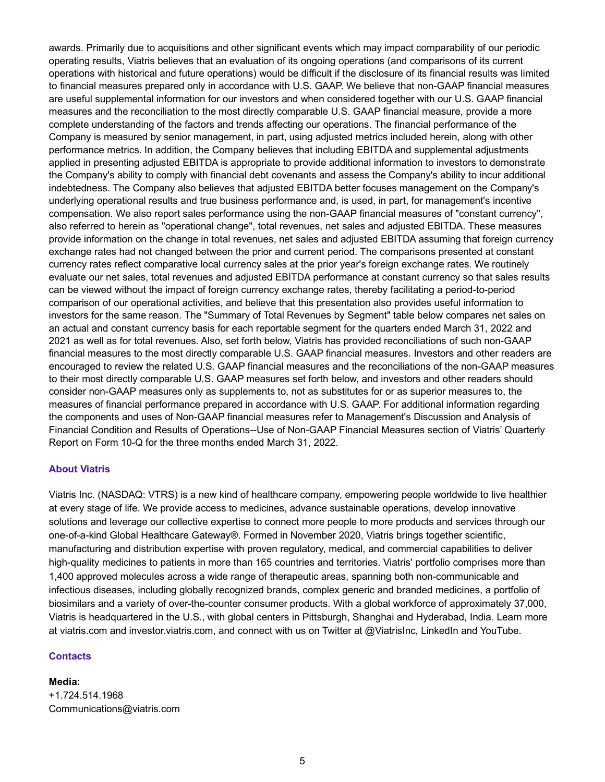awards. Primarily due to acquisitions and other significant events which may impact comparability of our periodic operating results, Viatris believes that an evaluation of its ongoing operations (and comparisons of its current operations with historical and future operations) would be difficult if the disclosure of its financial results was limited to financial measures prepared only in accordance with U.S. GAAP. We believe that non-GAAP financial measures are useful supplemental information for our investors and when considered together with our U.S. GAAP financial measures and the reconciliation to the most directly comparable U.S. GAAP financial measure, provide a more complete understanding of the factors and trends affecting our operations. The financial performance of the Company is measured by senior management, in part, using adjusted metrics included herein, along with other performance metrics. In addition, the Company believes that including EBITDA and supplemental adjustments applied in presenting adjusted EBITDA is appropriate to provide additional information to investors to demonstrate the Company's ability to comply with financial debt covenants and assess the Company's ability to incur additional indebtedness. The Company also believes that adjusted EBITDA better focuses management on the Company's underlying operational results and true business performance and, is used, in part, for management's incentive compensation. We also report sales performance using the non-GAAP financial measures of "constant currency", also referred to herein as "operational change", total revenues, net sales and adjusted EBITDA. These measures provide information on the change in total revenues, net sales and adjusted EBITDA assuming that foreign currency exchange rates had not changed between the prior and current period. The comparisons presented at constant currency rates reflect comparative local currency sales at the prior year's foreign exchange rates. We routinely evaluate our net sales, total revenues and adjusted EBITDA performance at constant currency so that sales results can be viewed without the impact of foreign currency exchange rates, thereby facilitating a period-to-period comparison of our operational activities, and believe that this presentation also provides useful information to investors for the same reason. The "Summary of Total Revenues by Segment" table below compares net sales on an actual and constant currency basis for each reportable segment for the quarters ended March 31, 2022 and 2021 as well as for total revenues. Also, set forth below, Viatris has provided reconciliations of such non-GAAP financial measures to the most directly comparable U.S. GAAP financial measures. Investors and other readers are encouraged to review the related U.S. GAAP financial measures and the reconciliations of the non-GAAP measures to their most directly comparable U.S. GAAP measures set forth below, and investors and other readers should consider non-GAAP measures only as supplements to, not as substitutes for or as superior measures to, the measures of financial performance prepared in accordance with U.S. GAAP. For additional information regarding the components and uses of Non-GAAP financial measures refer to Management's Discussion and Analysis of Financial Condition and Results of Operations--Use of Non-GAAP Financial Measures section of Viatris' Quarterly Report on Form 10-Q for the three months ended March 31, 2022.

### **About Viatris**

Viatris Inc. (NASDAQ: VTRS) is a new kind of healthcare company, empowering people worldwide to live healthier at every stage of life. We provide access to medicines, advance sustainable operations, develop innovative solutions and leverage our collective expertise to connect more people to more products and services through our one-of-a-kind Global Healthcare Gateway®. Formed in November 2020, Viatris brings together scientific, manufacturing and distribution expertise with proven regulatory, medical, and commercial capabilities to deliver high-quality medicines to patients in more than 165 countries and territories. Viatris' portfolio comprises more than 1,400 approved molecules across a wide range of therapeutic areas, spanning both non-communicable and infectious diseases, including globally recognized brands, complex generic and branded medicines, a portfolio of biosimilars and a variety of over-the-counter consumer products. With a global workforce of approximately 37,000, Viatris is headquartered in the U.S., with global centers in Pittsburgh, Shanghai and Hyderabad, India. Learn more at viatris.com and investor.viatris.com, and connect with us on Twitter at @ViatrisInc, LinkedIn and YouTube.

### **Contacts**

**Media:** +1.724.514.1968 Communications@viatris.com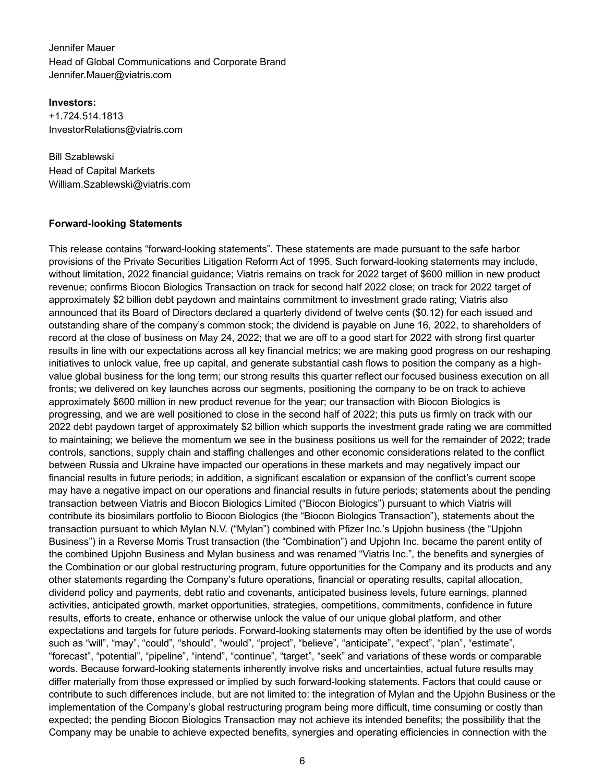Jennifer Mauer Head of Global Communications and Corporate Brand Jennifer.Mauer@viatris.com

**Investors:**

+1.724.514.1813 InvestorRelations@viatris.com

Bill Szablewski Head of Capital Markets William.Szablewski@viatris.com

### **Forward-looking Statements**

This release contains "forward-looking statements". These statements are made pursuant to the safe harbor provisions of the Private Securities Litigation Reform Act of 1995. Such forward-looking statements may include, without limitation, 2022 financial guidance; Viatris remains on track for 2022 target of \$600 million in new product revenue; confirms Biocon Biologics Transaction on track for second half 2022 close; on track for 2022 target of approximately \$2 billion debt paydown and maintains commitment to investment grade rating; Viatris also announced that its Board of Directors declared a quarterly dividend of twelve cents (\$0.12) for each issued and outstanding share of the company's common stock; the dividend is payable on June 16, 2022, to shareholders of record at the close of business on May 24, 2022; that we are off to a good start for 2022 with strong first quarter results in line with our expectations across all key financial metrics; we are making good progress on our reshaping initiatives to unlock value, free up capital, and generate substantial cash flows to position the company as a highvalue global business for the long term; our strong results this quarter reflect our focused business execution on all fronts; we delivered on key launches across our segments, positioning the company to be on track to achieve approximately \$600 million in new product revenue for the year; our transaction with Biocon Biologics is progressing, and we are well positioned to close in the second half of 2022; this puts us firmly on track with our 2022 debt paydown target of approximately \$2 billion which supports the investment grade rating we are committed to maintaining; we believe the momentum we see in the business positions us well for the remainder of 2022; trade controls, sanctions, supply chain and staffing challenges and other economic considerations related to the conflict between Russia and Ukraine have impacted our operations in these markets and may negatively impact our financial results in future periods; in addition, a significant escalation or expansion of the conflict's current scope may have a negative impact on our operations and financial results in future periods; statements about the pending transaction between Viatris and Biocon Biologics Limited ("Biocon Biologics") pursuant to which Viatris will contribute its biosimilars portfolio to Biocon Biologics (the "Biocon Biologics Transaction"), statements about the transaction pursuant to which Mylan N.V. ("Mylan") combined with Pfizer Inc.'s Upjohn business (the "Upjohn Business") in a Reverse Morris Trust transaction (the "Combination") and Upjohn Inc. became the parent entity of the combined Upjohn Business and Mylan business and was renamed "Viatris Inc.", the benefits and synergies of the Combination or our global restructuring program, future opportunities for the Company and its products and any other statements regarding the Company's future operations, financial or operating results, capital allocation, dividend policy and payments, debt ratio and covenants, anticipated business levels, future earnings, planned activities, anticipated growth, market opportunities, strategies, competitions, commitments, confidence in future results, efforts to create, enhance or otherwise unlock the value of our unique global platform, and other expectations and targets for future periods. Forward-looking statements may often be identified by the use of words such as "will", "may", "could", "should", "would", "project", "believe", "anticipate", "expect", "plan", "estimate", "forecast", "potential", "pipeline", "intend", "continue", "target", "seek" and variations of these words or comparable words. Because forward-looking statements inherently involve risks and uncertainties, actual future results may differ materially from those expressed or implied by such forward-looking statements. Factors that could cause or contribute to such differences include, but are not limited to: the integration of Mylan and the Upjohn Business or the implementation of the Company's global restructuring program being more difficult, time consuming or costly than expected; the pending Biocon Biologics Transaction may not achieve its intended benefits; the possibility that the Company may be unable to achieve expected benefits, synergies and operating efficiencies in connection with the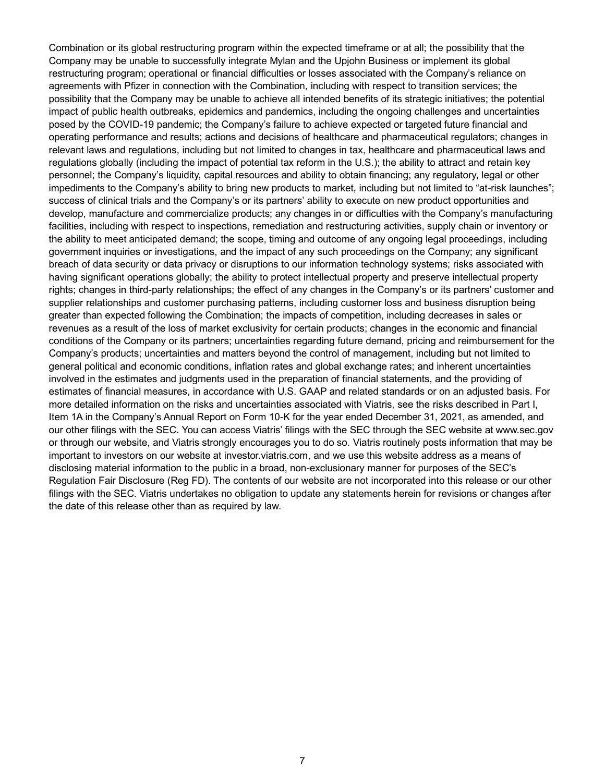Combination or its global restructuring program within the expected timeframe or at all; the possibility that the Company may be unable to successfully integrate Mylan and the Upjohn Business or implement its global restructuring program; operational or financial difficulties or losses associated with the Company's reliance on agreements with Pfizer in connection with the Combination, including with respect to transition services; the possibility that the Company may be unable to achieve all intended benefits of its strategic initiatives; the potential impact of public health outbreaks, epidemics and pandemics, including the ongoing challenges and uncertainties posed by the COVID-19 pandemic; the Company's failure to achieve expected or targeted future financial and operating performance and results; actions and decisions of healthcare and pharmaceutical regulators; changes in relevant laws and regulations, including but not limited to changes in tax, healthcare and pharmaceutical laws and regulations globally (including the impact of potential tax reform in the U.S.); the ability to attract and retain key personnel; the Company's liquidity, capital resources and ability to obtain financing; any regulatory, legal or other impediments to the Company's ability to bring new products to market, including but not limited to "at-risk launches"; success of clinical trials and the Company's or its partners' ability to execute on new product opportunities and develop, manufacture and commercialize products; any changes in or difficulties with the Company's manufacturing facilities, including with respect to inspections, remediation and restructuring activities, supply chain or inventory or the ability to meet anticipated demand; the scope, timing and outcome of any ongoing legal proceedings, including government inquiries or investigations, and the impact of any such proceedings on the Company; any significant breach of data security or data privacy or disruptions to our information technology systems; risks associated with having significant operations globally; the ability to protect intellectual property and preserve intellectual property rights; changes in third-party relationships; the effect of any changes in the Company's or its partners' customer and supplier relationships and customer purchasing patterns, including customer loss and business disruption being greater than expected following the Combination; the impacts of competition, including decreases in sales or revenues as a result of the loss of market exclusivity for certain products; changes in the economic and financial conditions of the Company or its partners; uncertainties regarding future demand, pricing and reimbursement for the Company's products; uncertainties and matters beyond the control of management, including but not limited to general political and economic conditions, inflation rates and global exchange rates; and inherent uncertainties involved in the estimates and judgments used in the preparation of financial statements, and the providing of estimates of financial measures, in accordance with U.S. GAAP and related standards or on an adjusted basis. For more detailed information on the risks and uncertainties associated with Viatris, see the risks described in Part I, Item 1A in the Company's Annual Report on Form 10-K for the year ended December 31, 2021, as amended, and our other filings with the SEC. You can access Viatris' filings with the SEC through the SEC website at www.sec.gov or through our website, and Viatris strongly encourages you to do so. Viatris routinely posts information that may be important to investors on our website at investor.viatris.com, and we use this website address as a means of disclosing material information to the public in a broad, non-exclusionary manner for purposes of the SEC's Regulation Fair Disclosure (Reg FD). The contents of our website are not incorporated into this release or our other filings with the SEC. Viatris undertakes no obligation to update any statements herein for revisions or changes after the date of this release other than as required by law.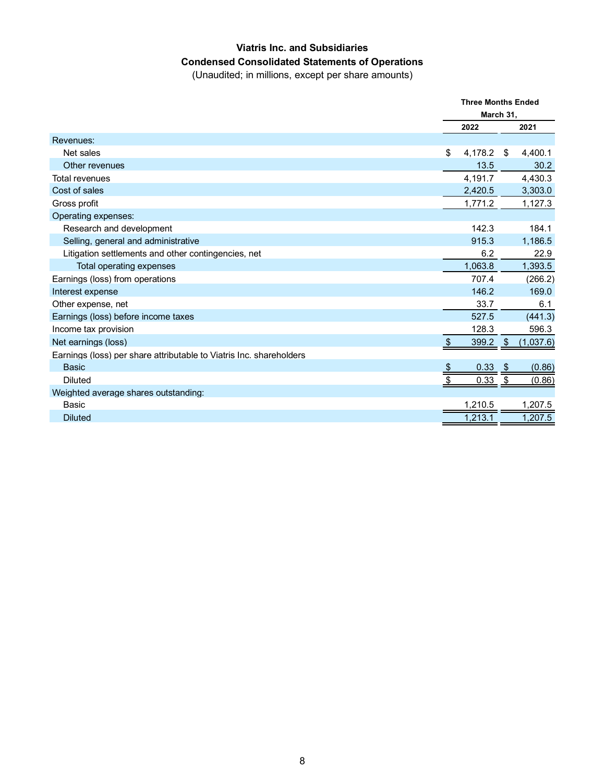## **Viatris Inc. and Subsidiaries Condensed Consolidated Statements of Operations**

(Unaudited; in millions, except per share amounts)

|                                                                     | <b>Three Months Ended</b> |         |     |           |
|---------------------------------------------------------------------|---------------------------|---------|-----|-----------|
|                                                                     | March 31,                 |         |     |           |
|                                                                     |                           | 2022    |     | 2021      |
| Revenues:                                                           |                           |         |     |           |
| Net sales                                                           | \$                        | 4,178.2 | \$  | 4,400.1   |
| Other revenues                                                      |                           | 13.5    |     | 30.2      |
| <b>Total revenues</b>                                               |                           | 4,191.7 |     | 4,430.3   |
| Cost of sales                                                       |                           | 2,420.5 |     | 3,303.0   |
| Gross profit                                                        |                           | 1,771.2 |     | 1,127.3   |
| Operating expenses:                                                 |                           |         |     |           |
| Research and development                                            |                           | 142.3   |     | 184.1     |
| Selling, general and administrative                                 |                           | 915.3   |     | 1,186.5   |
| Litigation settlements and other contingencies, net                 |                           | 6.2     |     | 22.9      |
| Total operating expenses                                            |                           | 1,063.8 |     | 1,393.5   |
| Earnings (loss) from operations                                     |                           | 707.4   |     | (266.2)   |
| Interest expense                                                    |                           | 146.2   |     | 169.0     |
| Other expense, net                                                  |                           | 33.7    |     | 6.1       |
| Earnings (loss) before income taxes                                 |                           | 527.5   |     | (441.3)   |
| Income tax provision                                                |                           | 128.3   |     | 596.3     |
| Net earnings (loss)                                                 |                           | 399.2   | -\$ | (1,037.6) |
| Earnings (loss) per share attributable to Viatris Inc. shareholders |                           |         |     |           |
| <b>Basic</b>                                                        |                           | 0.33    | \$  | (0.86)    |
| <b>Diluted</b>                                                      |                           | 0.33    | \$  | (0.86)    |
| Weighted average shares outstanding:                                |                           |         |     |           |
| Basic                                                               |                           | 1,210.5 |     | 1,207.5   |
| <b>Diluted</b>                                                      |                           | 1,213.1 |     | 1,207.5   |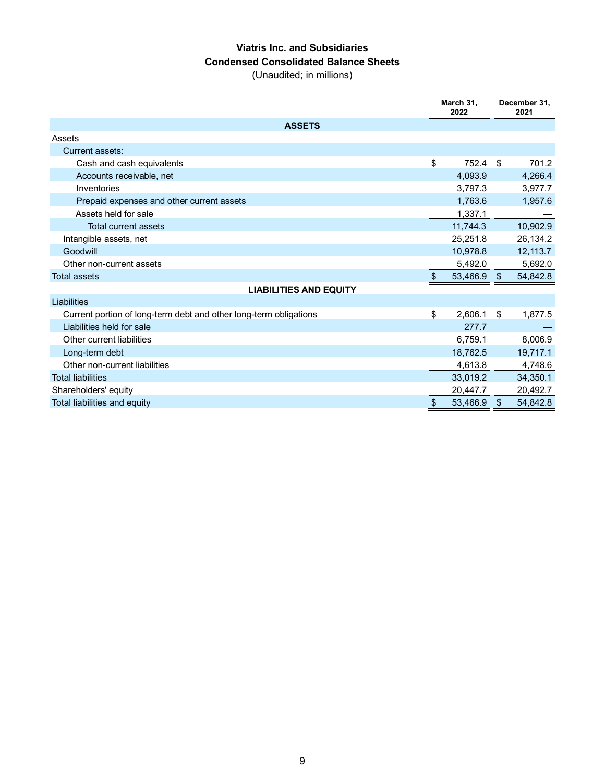## **Viatris Inc. and Subsidiaries Condensed Consolidated Balance Sheets**

(Unaudited; in millions)

|                                                                   | March 31,<br>2022 |                | December 31.<br>2021 |
|-------------------------------------------------------------------|-------------------|----------------|----------------------|
| <b>ASSETS</b>                                                     |                   |                |                      |
| Assets                                                            |                   |                |                      |
| Current assets:                                                   |                   |                |                      |
| Cash and cash equivalents                                         | \$<br>752.4       | -\$            | 701.2                |
| Accounts receivable, net                                          | 4,093.9           |                | 4,266.4              |
| Inventories                                                       | 3,797.3           |                | 3,977.7              |
| Prepaid expenses and other current assets                         | 1,763.6           |                | 1,957.6              |
| Assets held for sale                                              | 1,337.1           |                |                      |
| Total current assets                                              | 11,744.3          |                | 10,902.9             |
| Intangible assets, net                                            | 25,251.8          |                | 26,134.2             |
| Goodwill                                                          | 10,978.8          |                | 12,113.7             |
| Other non-current assets                                          | 5,492.0           |                | 5,692.0              |
| <b>Total assets</b>                                               | \$<br>53,466.9    | $\mathfrak{L}$ | 54,842.8             |
| <b>LIABILITIES AND EQUITY</b>                                     |                   |                |                      |
| Liabilities                                                       |                   |                |                      |
| Current portion of long-term debt and other long-term obligations | \$<br>2,606.1     | \$             | 1,877.5              |
| Liabilities held for sale                                         | 277.7             |                |                      |
| Other current liabilities                                         | 6,759.1           |                | 8,006.9              |
| Long-term debt                                                    | 18,762.5          |                | 19,717.1             |
| Other non-current liabilities                                     | 4,613.8           |                | 4,748.6              |
| <b>Total liabilities</b>                                          | 33,019.2          |                | 34,350.1             |
| Shareholders' equity                                              | 20,447.7          |                | 20,492.7             |
| Total liabilities and equity                                      | \$<br>53,466.9    | \$             | 54.842.8             |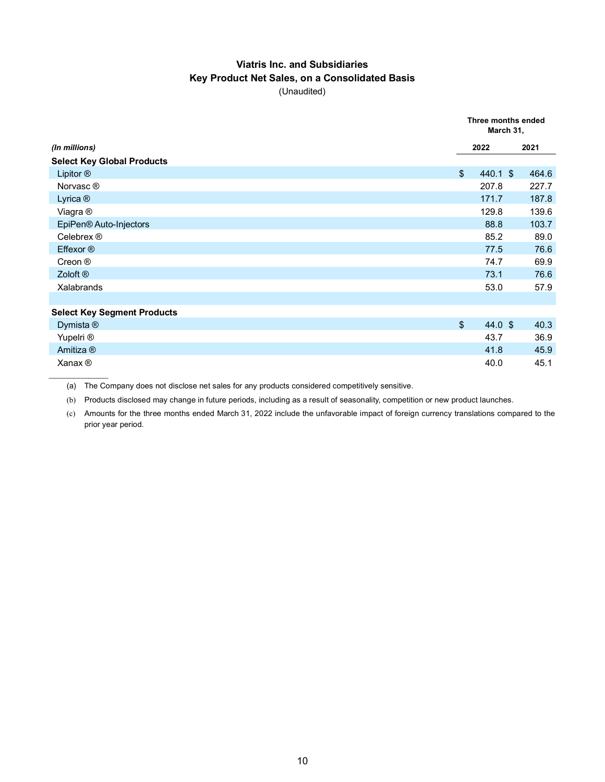## **Viatris Inc. and Subsidiaries Key Product Net Sales, on a Consolidated Basis** (Unaudited)

|                                    | Three months ended<br>March 31, |            |       |
|------------------------------------|---------------------------------|------------|-------|
| (In millions)                      |                                 | 2022       | 2021  |
| <b>Select Key Global Products</b>  |                                 |            |       |
| Lipitor ®                          | $\sqrt[6]{\frac{1}{2}}$         | $440.1$ \$ | 464.6 |
| Norvasc <sup>®</sup>               |                                 | 207.8      | 227.7 |
| Lyrica <sup>®</sup>                |                                 | 171.7      | 187.8 |
| Viagra ®                           |                                 | 129.8      | 139.6 |
| EpiPen <sup>®</sup> Auto-Injectors |                                 | 88.8       | 103.7 |
| Celebrex ®                         |                                 | 85.2       | 89.0  |
| Effexor ®                          |                                 | 77.5       | 76.6  |
| Creon ®                            |                                 | 74.7       | 69.9  |
| Zoloft <sup>®</sup>                |                                 | 73.1       | 76.6  |
| Xalabrands                         |                                 | 53.0       | 57.9  |
|                                    |                                 |            |       |
| <b>Select Key Segment Products</b> |                                 |            |       |
| Dymista ®                          | $\mathfrak{L}$                  | 44.0 $$$   | 40.3  |
| Yupelri <sup>®</sup>               |                                 | 43.7       | 36.9  |
| Amitiza ®                          |                                 | 41.8       | 45.9  |
| $X$ anax $\circledR$               |                                 | 40.0       | 45.1  |

(a) The Company does not disclose net sales for any products considered competitively sensitive.

(b) Products disclosed may change in future periods, including as a result of seasonality, competition or new product launches.

(c) Amounts for the three months ended March 31, 2022 include the unfavorable impact of foreign currency translations compared to the prior year period.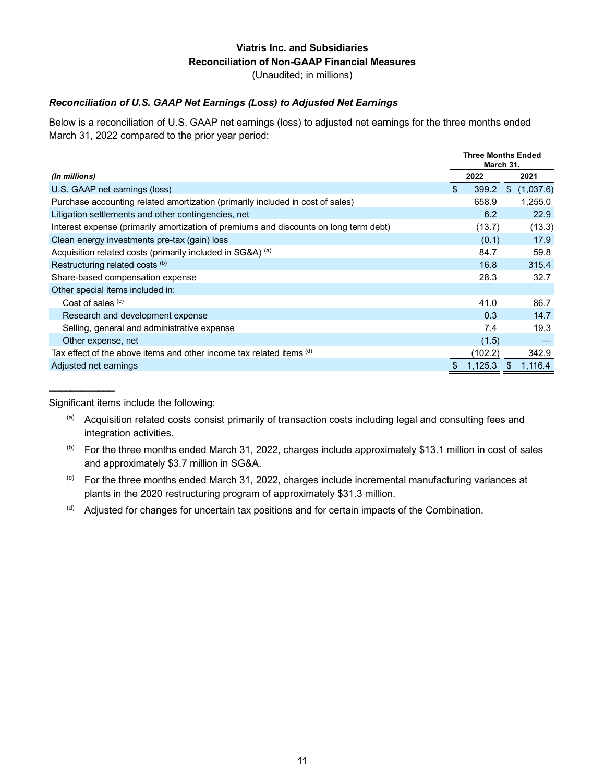# **Viatris Inc. and Subsidiaries Reconciliation of Non-GAAP Financial Measures**

(Unaudited; in millions)

### *Reconciliation of U.S. GAAP Net Earnings (Loss) to Adjusted Net Earnings*

Below is a reconciliation of U.S. GAAP net earnings (loss) to adjusted net earnings for the three months ended March 31, 2022 compared to the prior year period:

|                                                                                       | <b>Three Months Ended</b><br>March 31, |         |    |           |
|---------------------------------------------------------------------------------------|----------------------------------------|---------|----|-----------|
| (In millions)                                                                         |                                        | 2022    |    | 2021      |
| U.S. GAAP net earnings (loss)                                                         | \$                                     | 399.2   | S. | (1,037.6) |
| Purchase accounting related amortization (primarily included in cost of sales)        |                                        | 658.9   |    | 1,255.0   |
| Litigation settlements and other contingencies, net                                   |                                        | 6.2     |    | 22.9      |
| Interest expense (primarily amortization of premiums and discounts on long term debt) |                                        | (13.7)  |    | (13.3)    |
| Clean energy investments pre-tax (gain) loss                                          |                                        | (0.1)   |    | 17.9      |
| Acquisition related costs (primarily included in SG&A) (a)                            |                                        | 84.7    |    | 59.8      |
| Restructuring related costs (b)                                                       |                                        | 16.8    |    | 315.4     |
| Share-based compensation expense                                                      |                                        | 28.3    |    | 32.7      |
| Other special items included in:                                                      |                                        |         |    |           |
| Cost of sales $(c)$                                                                   |                                        | 41.0    |    | 86.7      |
| Research and development expense                                                      |                                        | 0.3     |    | 14.7      |
| Selling, general and administrative expense                                           |                                        | 7.4     |    | 19.3      |
| Other expense, net                                                                    |                                        | (1.5)   |    |           |
| Tax effect of the above items and other income tax related items (d)                  |                                        | (102.2) |    | 342.9     |
| Adjusted net earnings                                                                 |                                        | 1,125.3 |    | 1,116.4   |

Significant items include the following:

 $\overline{\phantom{a}}$ 

- (a) Acquisition related costs consist primarily of transaction costs including legal and consulting fees and integration activities.
- (b) For the three months ended March 31, 2022, charges include approximately \$13.1 million in cost of sales and approximately \$3.7 million in SG&A.
- (c) For the three months ended March 31, 2022, charges include incremental manufacturing variances at plants in the 2020 restructuring program of approximately \$31.3 million.
- (d) Adjusted for changes for uncertain tax positions and for certain impacts of the Combination.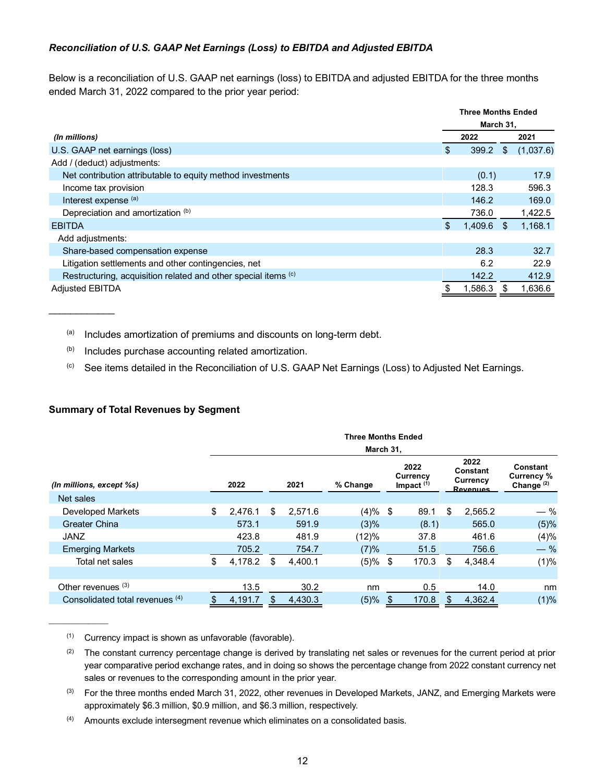### *Reconciliation of U.S. GAAP Net Earnings (Loss) to EBITDA and Adjusted EBITDA*

Below is a reconciliation of U.S. GAAP net earnings (loss) to EBITDA and adjusted EBITDA for the three months ended March 31, 2022 compared to the prior year period:

|                                                                | <b>Three Months Ended</b> |         |     |           |
|----------------------------------------------------------------|---------------------------|---------|-----|-----------|
|                                                                | March 31,                 |         |     |           |
| (In millions)                                                  |                           | 2022    |     | 2021      |
| U.S. GAAP net earnings (loss)                                  | S                         | 399.2   | \$  | (1,037.6) |
| Add / (deduct) adjustments:                                    |                           |         |     |           |
| Net contribution attributable to equity method investments     |                           | (0.1)   |     | 17.9      |
| Income tax provision                                           |                           | 128.3   |     | 596.3     |
| Interest expense (a)                                           |                           | 146.2   |     | 169.0     |
| Depreciation and amortization (b)                              |                           | 736.0   |     | 1,422.5   |
| <b>EBITDA</b>                                                  | \$.                       | 1,409.6 | \$. | 1,168.1   |
| Add adjustments:                                               |                           |         |     |           |
| Share-based compensation expense                               |                           | 28.3    |     | 32.7      |
| Litigation settlements and other contingencies, net            |                           | 6.2     |     | 22.9      |
| Restructuring, acquisition related and other special items (c) |                           | 142.2   |     | 412.9     |
| <b>Adjusted EBITDA</b>                                         |                           | 1,586.3 |     | 1,636.6   |

 $(a)$  Includes amortization of premiums and discounts on long-term debt.

(b) Includes purchase accounting related amortization.

(c) See items detailed in the Reconciliation of U.S. GAAP Net Earnings (Loss) to Adjusted Net Earnings.

### **Summary of Total Revenues by Segment**

 $\overline{\phantom{a}}$ 

|                                 |      | <b>Three Months Ended</b> |     |         |                                                           |  |       |     |                                          |                                        |
|---------------------------------|------|---------------------------|-----|---------|-----------------------------------------------------------|--|-------|-----|------------------------------------------|----------------------------------------|
| (In millions, except %s)        | 2022 |                           |     | 2021    | March 31,<br>2022<br>Currency<br>Impact $(1)$<br>% Change |  |       |     | 2022<br>Constant<br>Currency<br>Revenues | Constant<br>Currency %<br>Change $(2)$ |
| Net sales                       |      |                           |     |         |                                                           |  |       |     |                                          |                                        |
| Developed Markets               | \$   | 2,476.1                   | \$  | 2,571.6 | $(4)%$ \$                                                 |  | 89.1  | \$  | 2,565.2                                  | — %                                    |
| <b>Greater China</b>            |      | 573.1                     |     | 591.9   | (3)%                                                      |  | (8.1) |     | 565.0                                    | (5)%                                   |
| <b>JANZ</b>                     |      | 423.8                     |     | 481.9   | (12)%                                                     |  | 37.8  |     | 461.6                                    | (4)%                                   |
| <b>Emerging Markets</b>         |      | 705.2                     |     | 754.7   | (7)%                                                      |  | 51.5  |     | 756.6                                    | $-$ %                                  |
| Total net sales                 | \$   | 4,178.2                   | S   | 4.400.1 | $(5)$ % \$                                                |  | 170.3 | \$  | 4,348.4                                  | (1)%                                   |
|                                 |      |                           |     |         |                                                           |  |       |     |                                          |                                        |
| Other revenues $(3)$            |      | 13.5                      |     | 30.2    | nm                                                        |  | 0.5   |     | 14.0                                     | nm                                     |
| Consolidated total revenues (4) | \$   | 4,191.7                   | \$. | 4,430.3 | (5)%                                                      |  | 170.8 | \$. | 4,362.4                                  | (1)%                                   |

 $(1)$  Currency impact is shown as unfavorable (favorable).

 $(2)$  The constant currency percentage change is derived by translating net sales or revenues for the current period at prior year comparative period exchange rates, and in doing so shows the percentage change from 2022 constant currency net sales or revenues to the corresponding amount in the prior year.

 $(4)$  Amounts exclude intersegment revenue which eliminates on a consolidated basis.

<sup>(3)</sup> For the three months ended March 31, 2022, other revenues in Developed Markets, JANZ, and Emerging Markets were approximately \$6.3 million, \$0.9 million, and \$6.3 million, respectively.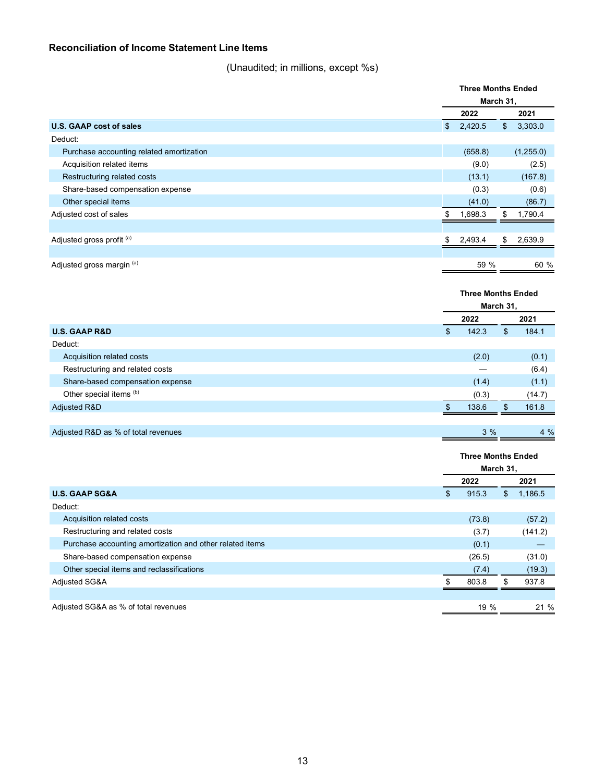## **Reconciliation of Income Statement Line Items**

(Unaudited; in millions, except %s)

|                                          |               | <b>Three Months Ended</b> |                           |           |  |  |
|------------------------------------------|---------------|---------------------------|---------------------------|-----------|--|--|
|                                          |               | March 31,                 |                           |           |  |  |
|                                          |               | 2022                      |                           | 2021      |  |  |
| <b>U.S. GAAP cost of sales</b>           | \$            | 2,420.5                   | \$                        | 3,303.0   |  |  |
| Deduct:                                  |               |                           |                           |           |  |  |
| Purchase accounting related amortization |               | (658.8)                   |                           | (1,255.0) |  |  |
| Acquisition related items                |               | (9.0)                     |                           | (2.5)     |  |  |
| Restructuring related costs              |               | (13.1)                    |                           | (167.8)   |  |  |
| Share-based compensation expense         |               | (0.3)                     |                           | (0.6)     |  |  |
| Other special items                      |               | (41.0)                    |                           | (86.7)    |  |  |
| Adjusted cost of sales                   | \$            | 1,698.3                   | \$                        | 1,790.4   |  |  |
|                                          |               |                           |                           |           |  |  |
| Adjusted gross profit (a)                | \$            | 2,493.4                   | \$                        | 2,639.9   |  |  |
|                                          |               |                           |                           |           |  |  |
| Adjusted gross margin (a)                |               | 59 %                      |                           | 60 %      |  |  |
|                                          |               |                           |                           |           |  |  |
|                                          |               | <b>Three Months Ended</b> |                           |           |  |  |
|                                          |               | March 31,                 |                           |           |  |  |
|                                          |               | 2022                      |                           | 2021      |  |  |
| <b>U.S. GAAP R&amp;D</b>                 | $\mathbf{\$}$ | 142.3                     | $\boldsymbol{\mathsf{S}}$ | 184.1     |  |  |
| Deduct:                                  |               |                           |                           |           |  |  |
| Acquisition related costs                |               | (2.0)                     |                           | (0.1)     |  |  |
| Restructuring and related costs          |               |                           |                           | (6.4)     |  |  |
| Share-based compensation expense         |               | (1.4)                     |                           | (1.1)     |  |  |
| Other special items (b)                  |               | (0.3)                     |                           | (14.7)    |  |  |
| <b>Adjusted R&amp;D</b>                  | \$            | 138.6                     | \$                        | 161.8     |  |  |
|                                          |               |                           |                           |           |  |  |

| Adjusted R&D as % of total revenues |  |  |  |  |
|-------------------------------------|--|--|--|--|
|-------------------------------------|--|--|--|--|

|                                                          | <b>Three Months Ended</b> |        |     |         |
|----------------------------------------------------------|---------------------------|--------|-----|---------|
|                                                          | March 31,                 |        |     |         |
|                                                          |                           | 2022   |     | 2021    |
| <b>U.S. GAAP SG&amp;A</b>                                | \$                        | 915.3  | S   | 1,186.5 |
| Deduct:                                                  |                           |        |     |         |
| Acquisition related costs                                |                           | (73.8) |     | (57.2)  |
| Restructuring and related costs                          |                           | (3.7)  |     | (141.2) |
| Purchase accounting amortization and other related items |                           | (0.1)  |     |         |
| Share-based compensation expense                         |                           | (26.5) |     | (31.0)  |
| Other special items and reclassifications                |                           | (7.4)  |     | (19.3)  |
| <b>Adjusted SG&amp;A</b>                                 |                           | 803.8  | \$. | 937.8   |
|                                                          |                           |        |     |         |
| Adjusted SG&A as % of total revenues                     |                           | 19 %   |     | 21%     |

 $3%$ 

 $4%$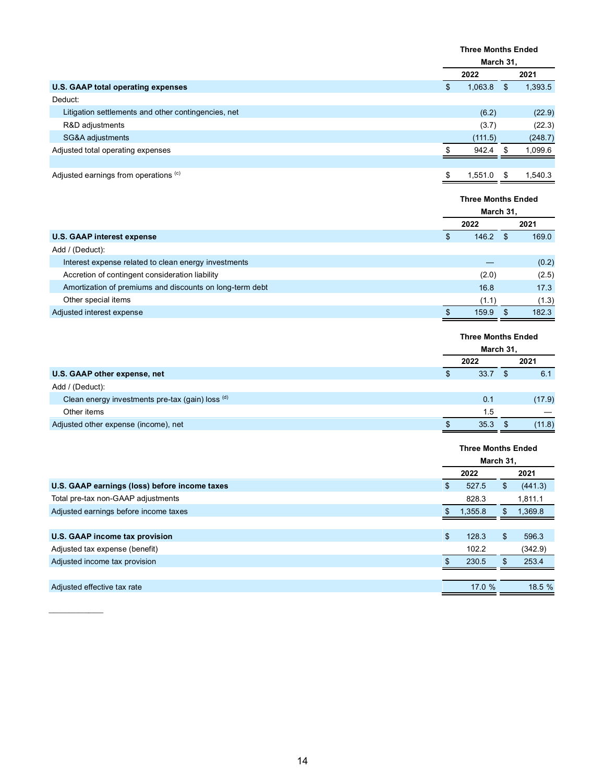|                                                     | <b>Three Months Ended</b> |    |         |  |  |
|-----------------------------------------------------|---------------------------|----|---------|--|--|
|                                                     | March 31,                 |    |         |  |  |
|                                                     | 2022                      |    | 2021    |  |  |
| U.S. GAAP total operating expenses                  | \$<br>1,063.8             | \$ | 1,393.5 |  |  |
| Deduct:                                             |                           |    |         |  |  |
| Litigation settlements and other contingencies, net | (6.2)                     |    | (22.9)  |  |  |
| R&D adjustments                                     | (3.7)                     |    | (22.3)  |  |  |
| SG&A adjustments                                    | (111.5)                   |    | (248.7) |  |  |
| Adjusted total operating expenses                   | 942.4                     | S  | 1,099.6 |  |  |
|                                                     |                           |    |         |  |  |
| Adjusted earnings from operations (c)               | \$<br>1.551.0             | S  | 1.540.3 |  |  |

|                                                          | <b>Three Months Ended</b><br>March 31, |       |     |       |
|----------------------------------------------------------|----------------------------------------|-------|-----|-------|
|                                                          |                                        |       |     |       |
|                                                          |                                        | 2022  |     | 2021  |
| <b>U.S. GAAP interest expense</b>                        | S                                      | 146.2 | \$. | 169.0 |
| Add / (Deduct):                                          |                                        |       |     |       |
| Interest expense related to clean energy investments     |                                        |       |     | (0.2) |
| Accretion of contingent consideration liability          |                                        | (2.0) |     | (2.5) |
| Amortization of premiums and discounts on long-term debt |                                        | 16.8  |     | 17.3  |
| Other special items                                      |                                        | (1.1) |     | (1.3) |
| Adjusted interest expense                                |                                        | 159.9 | \$. | 182.3 |

|                                                  | <b>Three Months Ended</b><br>March 31, |      |      |        |
|--------------------------------------------------|----------------------------------------|------|------|--------|
|                                                  |                                        |      |      |        |
|                                                  |                                        | 2022 |      | 2021   |
| U.S. GAAP other expense, net                     | S                                      | 33.7 | - \$ | 6.1    |
| Add / (Deduct):                                  |                                        |      |      |        |
| Clean energy investments pre-tax (gain) loss (d) |                                        | 0.1  |      | (17.9) |
| Other items                                      |                                        | 1.5  |      |        |
| Adjusted other expense (income), net             |                                        | 35.3 |      | (11.8) |
|                                                  |                                        |      |      |        |

|                                               | <b>Three Months Ended</b> |         |    |         |
|-----------------------------------------------|---------------------------|---------|----|---------|
|                                               | March 31,                 |         |    |         |
|                                               |                           | 2022    |    | 2021    |
| U.S. GAAP earnings (loss) before income taxes | S                         | 527.5   | S  | (441.3) |
| Total pre-tax non-GAAP adjustments            |                           | 828.3   |    | 1,811.1 |
| Adjusted earnings before income taxes         |                           | 1,355.8 | S  | 1,369.8 |
|                                               |                           |         |    |         |
| U.S. GAAP income tax provision                | \$                        | 128.3   | \$ | 596.3   |
| Adjusted tax expense (benefit)                |                           | 102.2   |    | (342.9) |
| Adjusted income tax provision                 |                           | 230.5   |    | 253.4   |
|                                               |                           |         |    |         |
| Adjusted effective tax rate                   |                           | 17.0 %  |    | 18.5 %  |